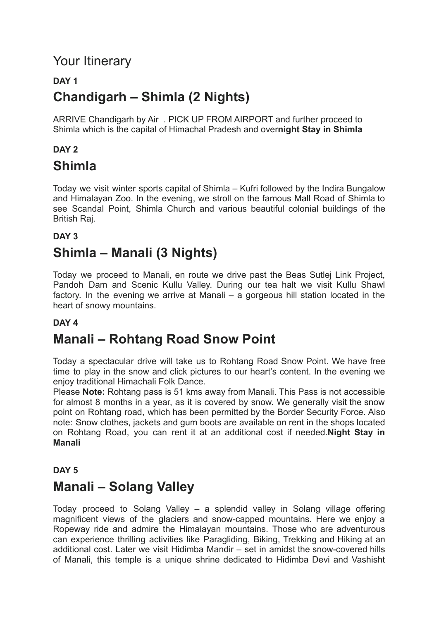### Your Itinerary

#### **DAY 1 Chandigarh – Shimla (2 Nights)**

ARRIVE Chandigarh by Air . PICK UP FROM AIRPORT and further proceed to Shimla which is the capital of Himachal Pradesh and over**night Stay in Shimla**

### **DAY 2**

#### **Shimla**

Today we visit winter sports capital of Shimla – Kufri followed by the Indira Bungalow and Himalayan Zoo. In the evening, we stroll on the famous Mall Road of Shimla to see Scandal Point, Shimla Church and various beautiful colonial buildings of the British Raj.

#### **DAY 3**

## **Shimla – Manali (3 Nights)**

Today we proceed to Manali, en route we drive past the Beas Sutlej Link Project, Pandoh Dam and Scenic Kullu Valley. During our tea halt we visit Kullu Shawl factory. In the evening we arrive at Manali – a gorgeous hill station located in the heart of snowy mountains.

#### **DAY 4**

### **Manali – Rohtang Road Snow Point**

Today a spectacular drive will take us to Rohtang Road Snow Point. We have free time to play in the snow and click pictures to our heart's content. In the evening we enjoy traditional Himachali Folk Dance.

Please **Note:** Rohtang pass is 51 kms away from Manali. This Pass is not accessible for almost 8 months in a year, as it is covered by snow. We generally visit the snow point on Rohtang road, which has been permitted by the Border Security Force. Also note: Snow clothes, jackets and gum boots are available on rent in the shops located on Rohtang Road, you can rent it at an additional cost if needed.**Night Stay in Manali**

#### **DAY 5**

### **Manali – Solang Valley**

Today proceed to Solang Valley – a splendid valley in Solang village offering magnificent views of the glaciers and snow-capped mountains. Here we enjoy a Ropeway ride and admire the Himalayan mountains. Those who are adventurous can experience thrilling activities like Paragliding, Biking, Trekking and Hiking at an additional cost. Later we visit Hidimba Mandir – set in amidst the snow-covered hills of Manali, this temple is a unique shrine dedicated to Hidimba Devi and Vashisht